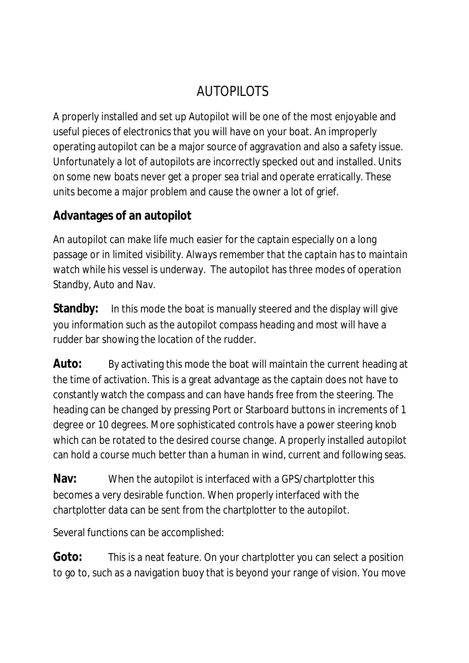# AUTOPILOTS

A properly installed and set up Autopilot will be one of the most enjoyable and useful pieces of electronics that you will have on your boat. An improperly operating autopilot can be a major source of aggravation and also a safety issue. Unfortunately a lot of autopilots are incorrectly specked out and installed. Units on some new boats never get a proper sea trial and operate erratically. These units become a major problem and cause the owner a lot of grief.

## **Advantages of an autopilot**

An autopilot can make life much easier for the captain especially on a long passage or in limited visibility. *Always remember that the captain has to maintain watch while his vessel is underway.* The autopilot has three modes of operation Standby, Auto and Nav.

**Standby:** In this mode the boat is manually steered and the display will give you information such as the autopilot compass heading and most will have a rudder bar showing the location of the rudder.

**Auto:** By activating this mode the boat will maintain the current heading at the time of activation. This is a great advantage as the captain does not have to constantly watch the compass and can have hands free from the steering. The heading can be changed by pressing Port or Starboard buttons in increments of 1 degree or 10 degrees. More sophisticated controls have a power steering knob which can be rotated to the desired course change. A properly installed autopilot can hold a course much better than a human in wind, current and following seas.

**Nav:** When the autopilot is interfaced with a GPS/chartplotter this becomes a very desirable function. When properly interfaced with the chartplotter data can be sent from the chartplotter to the autopilot.

Several functions can be accomplished:

**Goto:** This is a neat feature. On your chartplotter you can select a position to go to, such as a navigation buoy that is beyond your range of vision. You move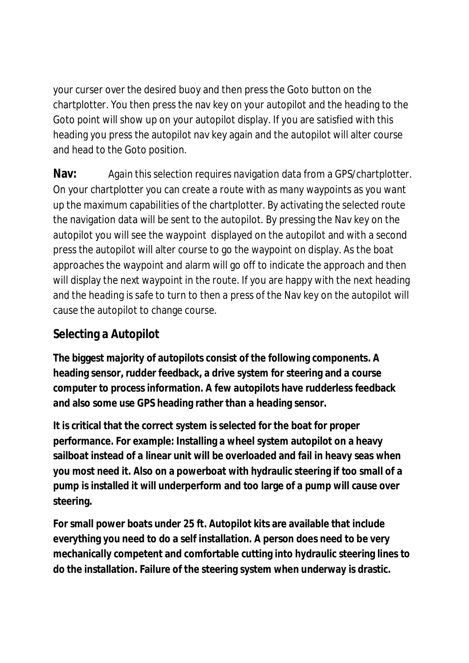your curser over the desired buoy and then press the Goto button on the chartplotter. You then press the nav key on your autopilot and the heading to the Goto point will show up on your autopilot display. If you are satisfied with this heading you press the autopilot nav key again and the autopilot will alter course and head to the Goto position.

**Nav:** Again this selection requires navigation data from a GPS/chartplotter. On your chartplotter you can create a route with as many waypoints as you want up the maximum capabilities of the chartplotter. By activating the selected route the navigation data will be sent to the autopilot. By pressing the Nav key on the autopilot you will see the waypoint displayed on the autopilot and with a second press the autopilot will alter course to go the waypoint on display. As the boat approaches the waypoint and alarm will go off to indicate the approach and then will display the next waypoint in the route. If you are happy with the next heading and the heading is safe to turn to then a press of the Nav key on the autopilot will cause the autopilot to change course.

# **Selecting a Autopilot**

**The biggest majority of autopilots consist of the following components. A heading sensor, rudder feedback, a drive system for steering and a course computer to process information. A few autopilots have rudderless feedback and also some use GPS heading rather than a heading sensor.**

**It is critical that the correct system is selected for the boat for proper performance. For example: Installing a wheel system autopilot on a heavy sailboat instead of a linear unit will be overloaded and fail in heavy seas when you most need it. Also on a powerboat with hydraulic steering if too small of a pump is installed it will underperform and too large of a pump will cause over steering.**

**For small power boats under 25 ft. Autopilot kits are available that include everything you need to do a self installation. A person does need to be very mechanically competent and comfortable cutting into hydraulic steering lines to do the installation. Failure of the steering system when underway is drastic.**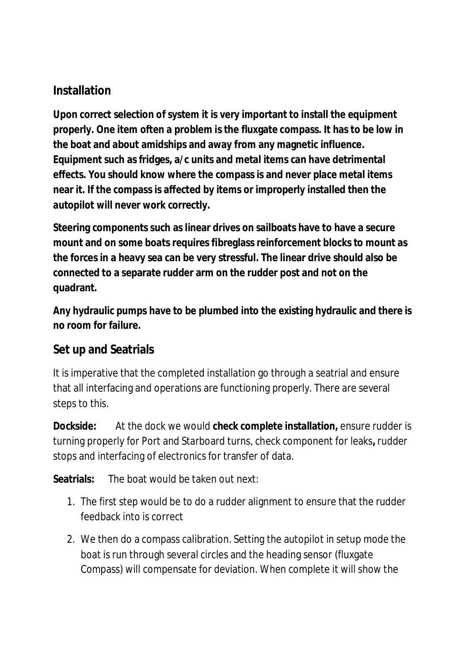#### **Installation**

**Upon correct selection of system it is very important to install the equipment properly. One item often a problem is the fluxgate compass. It has to be low in the boat and about amidships and away from any magnetic influence. Equipment such as fridges, a/c units and metal items can have detrimental effects. You should know where the compass is and never place metal items near it. If the compass is affected by items or improperly installed then the autopilot will never work correctly.**

**Steering components such as linear drives on sailboats have to have a secure mount and on some boats requires fibreglass reinforcement blocks to mount as the forces in a heavy sea can be very stressful. The linear drive should also be connected to a separate rudder arm on the rudder post and not on the quadrant.**

**Any hydraulic pumps have to be plumbed into the existing hydraulic and there is no room for failure.**

## **Set up and Seatrials**

It is imperative that the completed installation go through a seatrial and ensure that all interfacing and operations are functioning properly. There are several steps to this.

**Dockside:** At the dock we would **check complete installation,** ensure rudder is turning properly for Port and Starboard turns, check component for leaks**,** rudder stops and interfacing of electronics for transfer of data.

**Seatrials:** The boat would be taken out next:

- 1. The first step would be to do a rudder alignment to ensure that the rudder feedback into is correct
- 2. We then do a compass calibration. Setting the autopilot in setup mode the boat is run through several circles and the heading sensor (fluxgate Compass) will compensate for deviation. When complete it will show the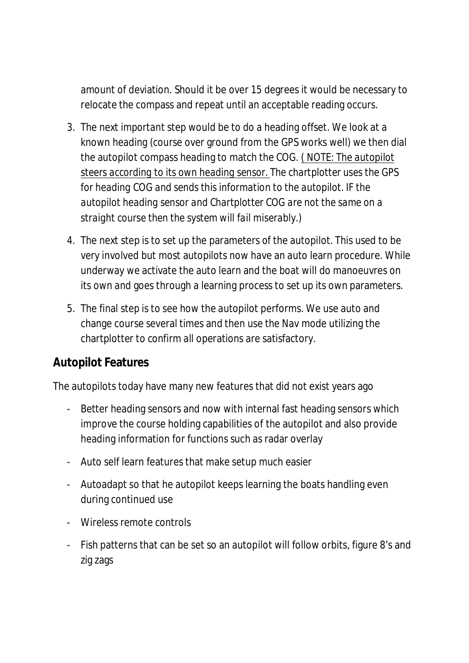amount of deviation. Should it be over 15 degrees it would be necessary to relocate the compass and repeat until an acceptable reading occurs.

- 3. The next *important* step would be to do a heading offset. We look at a known heading (course over ground from the GPS works well) we then dial the autopilot compass heading to match the COG. ( *NOTE: The autopilot steers according to its own heading sensor. The chartplotter uses the GPS for heading COG and sends this information to the autopilot. IF the autopilot heading sensor and Chartplotter COG are not the same on a straight course then the system will fail miserably.)*
- 4. The next step is to set up the parameters of the autopilot. This used to be very involved but most autopilots now have an auto learn procedure. While underway we activate the auto learn and the boat will do manoeuvres on its own and goes through a learning process to set up its own parameters.
- 5. The final step is to see how the autopilot performs. We use auto and change course several times and then use the Nav mode utilizing the chartplotter to confirm all operations are satisfactory.

#### **Autopilot Features**

The autopilots today have many new features that did not exist years ago

- Better heading sensors and now with internal fast heading sensors which improve the course holding capabilities of the autopilot and also provide heading information for functions such as radar overlay
- Auto self learn features that make setup much easier
- Autoadapt so that he autopilot keeps learning the boats handling even during continued use
- Wireless remote controls
- Fish patterns that can be set so an autopilot will follow orbits, figure 8's and zig zags